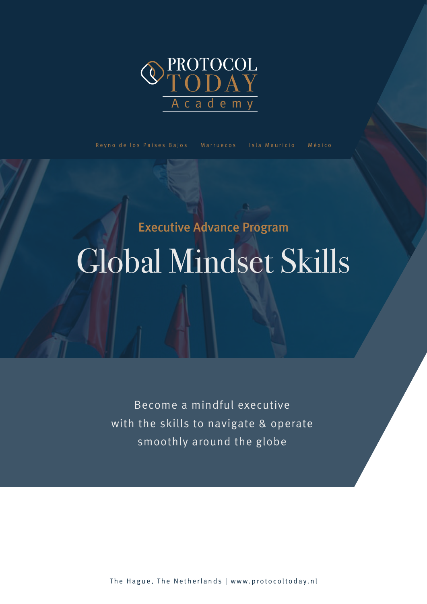

Become a mindful executive with the skills to navigate & operate smoothly around the globe

The Hague, The Netherlands | www.protocoltoday.nl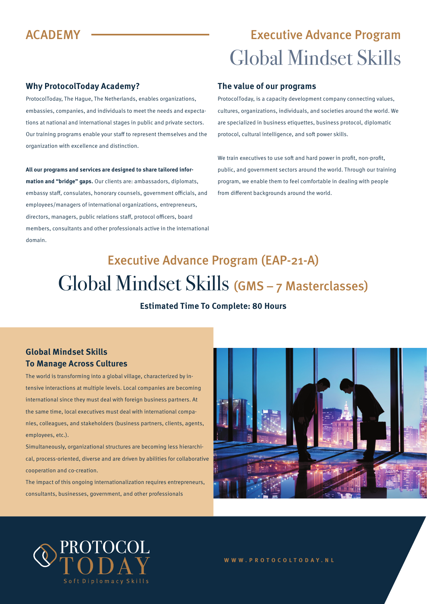### **Why ProtocolToday Academy?**

ProtocolToday, The Hague, The Netherlands, enables organizations, embassies, companies, and individuals to meet the needs and expectations at national and international stages in public and private sectors. Our training programs enable your staff to represent themselves and the organization with excellence and distinction.

**All our programs and services are designed to share tailored information and "bridge" gaps.** Our clients are: ambassadors, diplomats, embassy staff, consulates, honorary counsels, government officials, and employees/managers of international organizations, entrepreneurs, directors, managers, public relations staff, protocol officers, board members, consultants and other professionals active in the international domain.

#### **The value of our programs**

ProtocolToday, is a capacity development company connecting values, cultures, organizations, individuals, and societies around the world. We are specialized in business etiquettes, business protocol, diplomatic protocol, cultural intelligence, and soft power skills.

We train executives to use soft and hard power in profit, non-profit, public, and government sectors around the world. Through our training program, we enable them to feel comfortable in dealing with people from different backgrounds around the world.

# Executive Advance Program (EAP-21-A) Global Mindset Skills (GMS – 7 Masterclasses)

### **Estimated Time To Complete: 80 Hours**

### **Global Mindset Skills To Manage Across Cultures**

The world is transforming into a global village, characterized by intensive interactions at multiple levels. Local companies are becoming international since they must deal with foreign business partners. At the same time, local executives must deal with international companies, colleagues, and stakeholders (business partners, clients, agents, employees, etc.).

Simultaneously, organizational structures are becoming less hierarchical, process-oriented, diverse and are driven by abilities for collaborative cooperation and co-creation.

The impact of this ongoing internationalization requires entrepreneurs, consultants, businesses, government, and other professionals





#### **WWW.PROTOCOLTODAY.NL**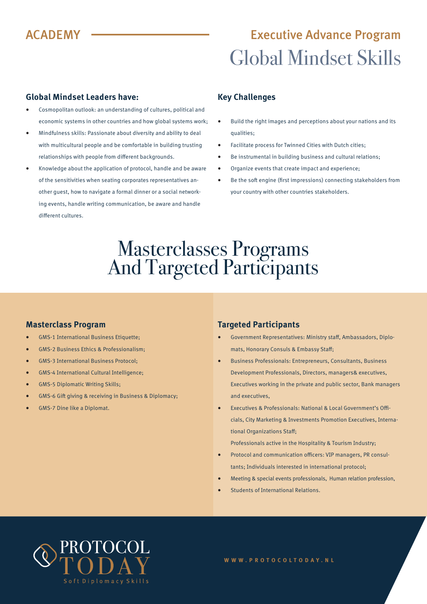### **Global Mindset Leaders have:**

- Cosmopolitan outlook: an understanding of cultures, political and economic systems in other countries and how global systems work;
- Mindfulness skills: Passionate about diversity and ability to deal with multicultural people and be comfortable in building trusting relationships with people from different backgrounds.
- Knowledge about the application of protocol, handle and be aware of the sensitivities when seating corporates representatives another guest, how to navigate a formal dinner or a social networking events, handle writing communication, be aware and handle different cultures.

### **Key Challenges**

- Build the right images and perceptions about your nations and its qualities;
- Facilitate process for Twinned Cities with Dutch cities;
- Be instrumental in building business and cultural relations;
- Organize events that create impact and experience;
- Be the soft engine (first impressions) connecting stakeholders from your country with other countries stakeholders.

## Masterclasses Programs And Targeted Participants

### **Masterclass Program**

- GMS-1 International Business Etiquette;
- GMS-2 Business Ethics & Professionalism;
- GMS-3 International Business Protocol;
- GMS-4 International Cultural Intelligence;
- GMS-5 Diplomatic Writing Skills;
- GMS-6 Gift giving & receiving in Business & Diplomacy;
- GMS-7 Dine like a Diplomat.

### **Targeted Participants**

- Government Representatives: Ministry staff, Ambassadors, Diplomats, Honorary Consuls & Embassy Staff;
- Business Professionals: Entrepreneurs, Consultants, Business Development Professionals, Directors, managers& executives, Executives working in the private and public sector, Bank managers and executives,
- Executives & Professionals: National & Local Government's Officials, City Marketing & Investments Promotion Executives, International Organizations Staff;

Professionals active in the Hospitality & Tourism Industry;

- Protocol and communication officers: VIP managers, PR consultants; Individuals interested in international protocol;
- Meeting & special events professionals, Human relation profession,
- Students of International Relations.

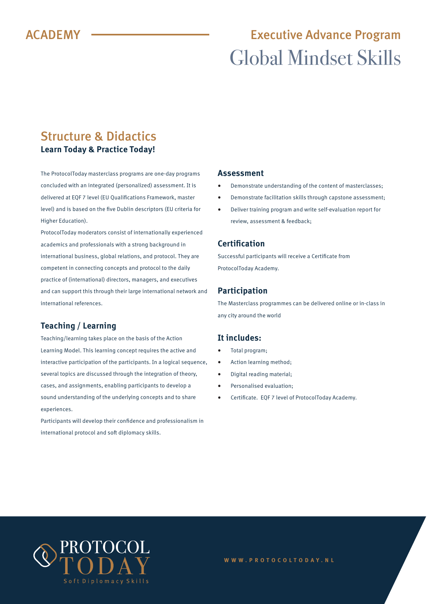### Structure & Didactics **Learn Today & Practice Today!**

The ProtocolToday masterclass programs are one-day programs concluded with an integrated (personalized) assessment. It is delivered at EQF 7 level (EU Qualifications Framework, master level) and is based on the five Dublin descriptors (EU criteria for Higher Education).

ProtocolToday moderators consist of internationally experienced academics and professionals with a strong background in international business, global relations, and protocol. They are competent in connecting concepts and protocol to the daily practice of (international) directors, managers, and executives and can support this through their large international network and international references.

### **Teaching / Learning**

Teaching/learning takes place on the basis of the Action Learning Model. This learning concept requires the active and interactive participation of the participants. In a logical sequence, several topics are discussed through the integration of theory, cases, and assignments, enabling participants to develop a sound understanding of the underlying concepts and to share experiences.

Participants will develop their confidence and professionalism in international protocol and soft diplomacy skills.

### **Assessment**

- Demonstrate understanding of the content of masterclasses;
- Demonstrate facilitation skills through capstone assessment;
- Deliver training program and write self-evaluation report for review, assessment & feedback;

### **Certification**

Successful participants will receive a Certificate from ProtocolToday Academy.

### **Participation**

The Masterclass programmes can be delivered online or in-class in any city around the world

### **It includes:**

- Total program:
- Action learning method;
- Digital reading material;
- Personalised evaluation;
- Certificate. EQF 7 level of ProtocolToday Academy.

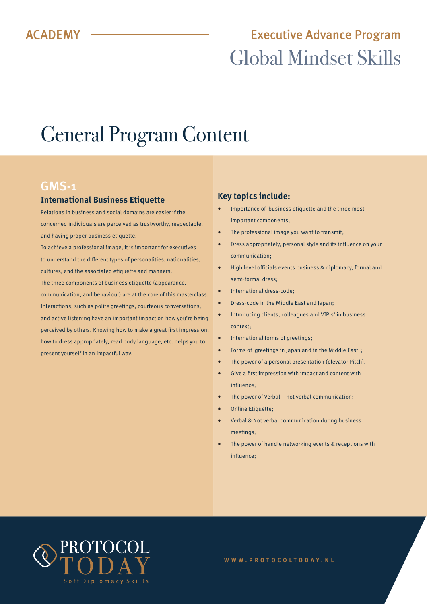# General Program Content

### GMS-1

### **International Business Etiquette**

Relations in business and social domains are easier if the concerned individuals are perceived as trustworthy, respectable, and having proper business etiquette.

To achieve a professional image, it is important for executives to understand the different types of personalities, nationalities, cultures, and the associated etiquette and manners.

The three components of business etiquette (appearance, communication, and behaviour) are at the core of this masterclass. Interactions, such as polite greetings, courteous conversations, and active listening have an important impact on how you're being perceived by others. Knowing how to make a great first impression, how to dress appropriately, read body language, etc. helps you to present yourself in an impactful way.

### **Key topics include:**

- Importance of business etiquette and the three most important components;
- The professional image you want to transmit;
- Dress appropriately, personal style and its influence on your communication;
- High level officials events business & diplomacy, formal and semi-formal dress;
- International dress-code;
- Dress-code in the Middle East and Japan;
- Introducing clients, colleagues and VIP's' in business context;
- International forms of greetings;
- Forms of greetings in Japan and in the Middle East ;
- The power of a personal presentation (elevator Pitch),
- Give a first impression with impact and content with influence;
- The power of Verbal not verbal communication;
- Online Etiquette;
- Verbal & Not verbal communication during business meetings;
- The power of handle networking events & receptions with influence;

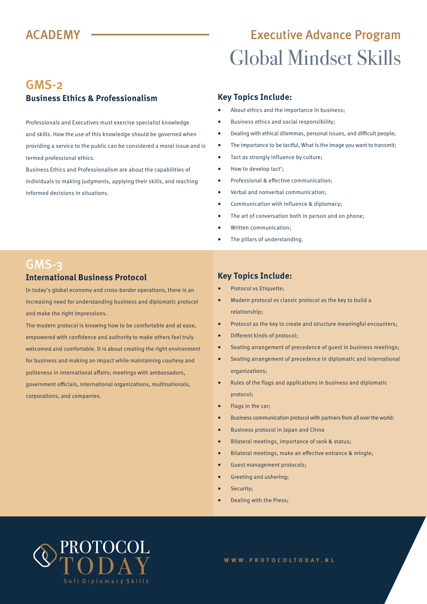### GMS-2 **Business Ethics & Professionalism**

Professionals and Executives must exercise specialist knowledge and skills. How the use of this knowledge should be governed when providing a service to the public can be considered a moral issue and is termed professional ethics.

Business Ethics and Professionalism are about the capabilities of individuals to making judgments, applying their skills, and reaching informed decisions in situations.

### **Key Topics Include:**

- About ethics and the importance in business;
- Business ethics and social responsibility;
- Dealing with ethical dilemmas, personal issues, and difficult people;
- The importance to be tactful, What is the image you want to transmit;
- Tact as strongly influence by culture;
- How to develop tact';
- Professional & effective communication;
- Verbal and nonverbal communication;
- Communication with influence & diplomacy;
- The art of conversation both in person and on phone;
- Written communication;
- The pillars of understanding.

### GMS-3 **International Business Protocol**

In today's global economy and cross-border operations, there is an increasing need for understanding business and diplomatic protocol and make the right impressions.

The modern protocol is knowing how to be comfortable and at ease, empowered with confidence and authority to make others feel truly welcomed and comfortable. It is about creating the right environment for business and making an impact while maintaining courtesy and politeness in international affairs; meetings with ambassadors, government officials, international organizations, multinationals, corporations, and companies.

#### **Key Topics Include:**

- Protocol vs Etiquette;
- Modern protocol vs classic protocol as the key to build a relationship;
- Protocol as the key to create and structure meaningful encounters;
- Different kinds of protocol;
- Seating arrangement of precedence of guest in business meetings;
- Seating arrangement of precedence in diplomatic and international organizations;
- Rules of the flags and applications in business and diplomatic protocol;
- Flags in the car;
- Business communication protocol with partners from all over the world:
- Business protocol in Japan and China
- Bilateral meetings, importance of rank & status;
- Bilateral meetings, make an effective entrance & mingle;
- Guest management protocols;
- Greeting and ushering;
- Security;
- Dealing with the Press;

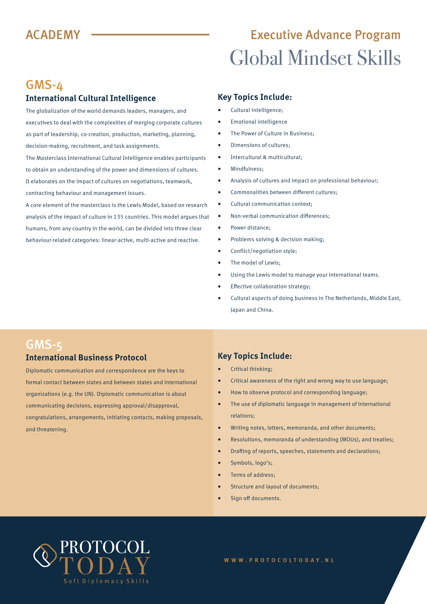## GMS-4

### **International Cultural Intelligence**

The globalization of the world demands leaders, managers, and executives to deal with the complexities of merging corporate cultures as part of leadership, co-creation, production, marketing, planning, decision-making, recruitment, and task assignments.

The Masterclass International Cultural Intelligence enables participants to obtain an understanding of the power and dimensions of cultures. It elaborates on the impact of cultures on negotiations, teamwork, contracting behaviour and management issues.

A core element of the masterclass is the Lewis Model, based on research analysis of the impact of culture in 135 countries. This model argues that humans, from any country in the world, can be divided into three clear behaviour-related categories: linear-active, multi-active and reactive.

### **Key Topics Include:**

- Cultural intelligence;
- Emotional intelligence
- The Power of Culture in Business:
- Dimensions of cultures;
- Intercultural & multicultural;
- Mindfulness;
- Analysis of cultures and impact on professional behaviour;
- Commonalities between different cultures;
- Cultural communication context;
- Non-verbal communication differences;
- Power distance;
- Problems solving & decision making;
- Conflict/negotiation style;
- The model of Lewis;
- Using the Lewis model to manage your international teams.
- Effective collaboration strategy;
- Cultural aspects of doing business in The Netherlands, Middle East, Japan and China.

### GMS-5 **International Business Protocol**

Diplomatic communication and correspondence are the keys to formal contact between states and between states and international organizations (e.g. the UN). Diplomatic communication is about communicating decisions, expressing approval/disapproval, congratulations, arrangements, initiating contacts, making proposals, and threatening.

### **Key Topics Include:**

- Critical thinking;
- Critical awareness of the right and wrong way to use language;
- How to observe protocol and corresponding language;
- The use of diplomatic language in management of international relations;
- Writing notes, letters, memoranda, and other documents;
- Resolutions, memoranda of understanding (MOUs), and treaties;
- Drafting of reports, speeches, statements and declarations;
- Symbols, logo's;
- Terms of address;
- Structure and layout of documents;
- Sign off documents.

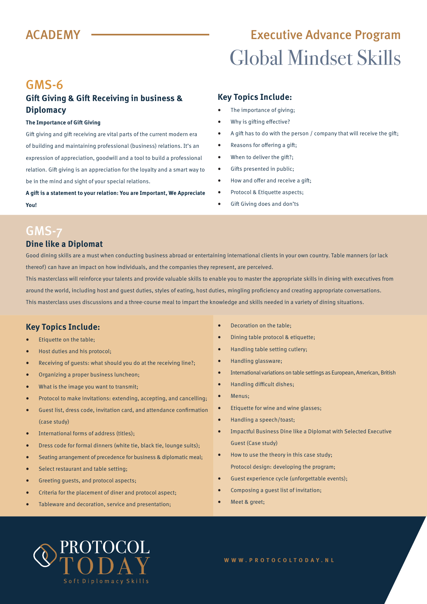## GMS-6

### **Gift Giving & Gift Receiving in business & Diplomacy**

#### **The Importance of Gift Giving**

Gift giving and gift receiving are vital parts of the current modern era of building and maintaining professional (business) relations. It's an expression of appreciation, goodwill and a tool to build a professional relation. Gift giving is an appreciation for the loyalty and a smart way to be in the mind and sight of your special relations.

**A gift is a statement to your relation: You are Important, We Appreciate You!**

### **Key Topics Include:**

- The importance of giving;
- Why is gifting effective?
- A gift has to do with the person / company that will receive the gift;
- Reasons for offering a gift;
- When to deliver the gift?;
- Gifts presented in public;
- How and offer and receive a gift;
- Protocol & Etiquette aspects;
- Gift Giving does and don'ts

## GMS-7

### **Dine like a Diplomat**

Good dining skills are a must when conducting business abroad or entertaining international clients in your own country. Table manners (or lack thereof) can have an impact on how individuals, and the companies they represent, are perceived.

This masterclass will reinforce your talents and provide valuable skills to enable you to master the appropriate skills in dining with executives from around the world, including host and guest duties, styles of eating, host duties, mingling proficiency and creating appropriate conversations. This masterclass uses discussions and a three-course meal to impart the knowledge and skills needed in a variety of dining situations.

### **Key Topics Include:**

- Etiquette on the table;
- Host duties and his protocol;
- Receiving of guests: what should you do at the receiving line?;
- Organizing a proper business luncheon;
- What is the image you want to transmit;
- Protocol to make invitations: extending, accepting, and cancelling;
- Guest list, dress code, invitation card, and attendance confirmation (case study)
- International forms of address (titles):
- Dress code for formal dinners (white tie, black tie, lounge suits);
- Seating arrangement of precedence for business & diplomatic meal;
- Select restaurant and table setting;
- Greeting guests, and protocol aspects;
- Criteria for the placement of diner and protocol aspect;
- Tableware and decoration, service and presentation;
- Decoration on the table;
- Dining table protocol & etiquette;
- Handling table setting cutlery;
- Handling glassware;
- International variations on table settings as European, American, British
- Handling difficult dishes;
- Menus;
- Etiquette for wine and wine glasses;
- Handling a speech/toast;
- Impactful Business Dine like a Diplomat with Selected Executive Guest (Case study)
- How to use the theory in this case study; Protocol design: developing the program;
- Guest experience cycle (unforgettable events);
- Composing a guest list of invitation;
- Meet & greet;